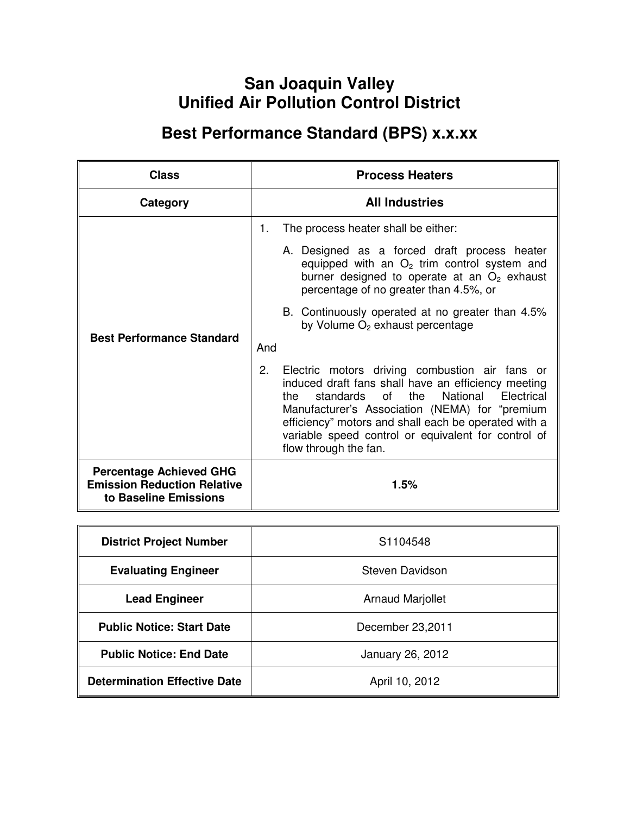# **San Joaquin Valley Unified Air Pollution Control District**

# **Best Performance Standard (BPS) x.x.xx**

| <b>Class</b>                                                                                  | <b>Process Heaters</b>                                                                                                                                                                                                                                                                                                                                           |
|-----------------------------------------------------------------------------------------------|------------------------------------------------------------------------------------------------------------------------------------------------------------------------------------------------------------------------------------------------------------------------------------------------------------------------------------------------------------------|
| Category                                                                                      | <b>All Industries</b>                                                                                                                                                                                                                                                                                                                                            |
|                                                                                               | 1.<br>The process heater shall be either:                                                                                                                                                                                                                                                                                                                        |
|                                                                                               | A. Designed as a forced draft process heater<br>equipped with an $O2$ trim control system and<br>burner designed to operate at an $O2$ exhaust<br>percentage of no greater than 4.5%, or                                                                                                                                                                         |
| <b>Best Performance Standard</b>                                                              | B. Continuously operated at no greater than 4.5%<br>by Volume $O2$ exhaust percentage                                                                                                                                                                                                                                                                            |
|                                                                                               | And                                                                                                                                                                                                                                                                                                                                                              |
|                                                                                               | 2.<br>Electric motors driving combustion air fans or<br>induced draft fans shall have an efficiency meeting<br>standards<br>of<br>the<br>National<br>the<br>Electrical<br>Manufacturer's Association (NEMA) for "premium<br>efficiency" motors and shall each be operated with a<br>variable speed control or equivalent for control of<br>flow through the fan. |
| <b>Percentage Achieved GHG</b><br><b>Emission Reduction Relative</b><br>to Baseline Emissions | 1.5%                                                                                                                                                                                                                                                                                                                                                             |

| <b>District Project Number</b>      | S <sub>1104548</sub>    |
|-------------------------------------|-------------------------|
| <b>Evaluating Engineer</b>          | <b>Steven Davidson</b>  |
| <b>Lead Engineer</b>                | <b>Arnaud Marjollet</b> |
| <b>Public Notice: Start Date</b>    | December 23,2011        |
| <b>Public Notice: End Date</b>      | January 26, 2012        |
| <b>Determination Effective Date</b> | April 10, 2012          |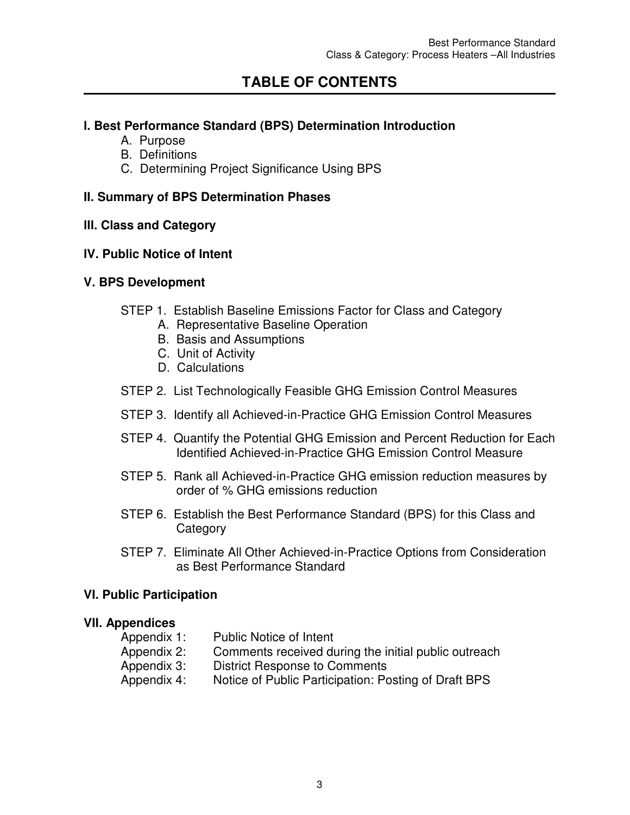# **TABLE OF CONTENTS**

## **l. Best Performance Standard (BPS) Determination Introduction**

- A. Purpose
- B. Definitions
- C. Determining Project Significance Using BPS

## **II. Summary of BPS Determination Phases**

### **lll. Class and Category**

### **lV. Public Notice of Intent**

### **V. BPS Development**

- STEP 1. Establish Baseline Emissions Factor for Class and Category
	- A. Representative Baseline Operation
	- B. Basis and Assumptions
	- C. Unit of Activity
	- D. Calculations
- STEP 2. List Technologically Feasible GHG Emission Control Measures
- STEP 3. Identify all Achieved-in-Practice GHG Emission Control Measures
- STEP 4. Quantify the Potential GHG Emission and Percent Reduction for Each Identified Achieved-in-Practice GHG Emission Control Measure
- STEP 5. Rank all Achieved-in-Practice GHG emission reduction measures by order of % GHG emissions reduction
- STEP 6. Establish the Best Performance Standard (BPS) for this Class and **Category**
- STEP 7. Eliminate All Other Achieved-in-Practice Options from Consideration as Best Performance Standard

#### **VI. Public Participation**

#### **VII. Appendices**

Appendix 1: Public Notice of Intent Appendix 2: Comments received during the initial public outreach Appendix 3: District Response to Comments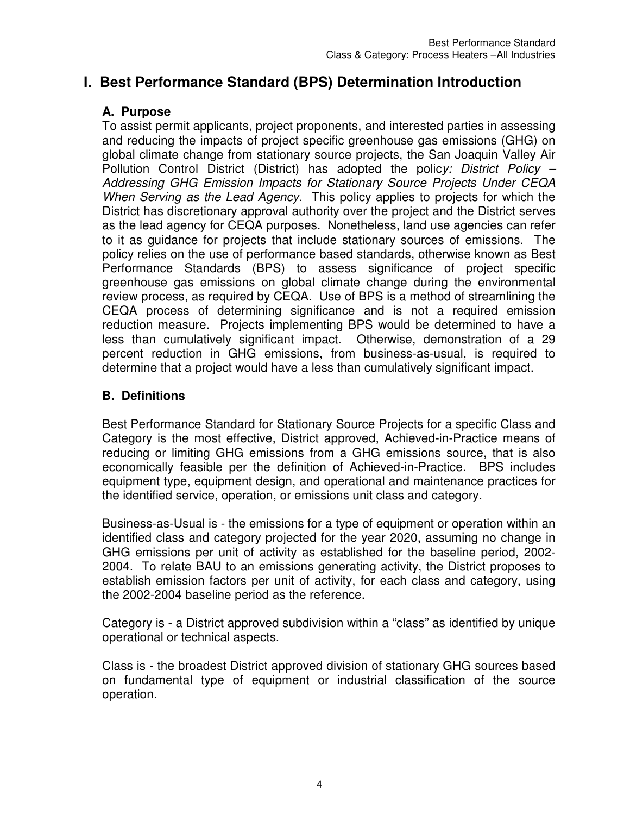## **I. Best Performance Standard (BPS) Determination Introduction**

## **A. Purpose**

To assist permit applicants, project proponents, and interested parties in assessing and reducing the impacts of project specific greenhouse gas emissions (GHG) on global climate change from stationary source projects, the San Joaquin Valley Air Pollution Control District (District) has adopted the polic*y: District Policy – Addressing GHG Emission Impacts for Stationary Source Projects Under CEQA When Serving as the Lead Agency.* This policy applies to projects for which the District has discretionary approval authority over the project and the District serves as the lead agency for CEQA purposes. Nonetheless, land use agencies can refer to it as guidance for projects that include stationary sources of emissions. The policy relies on the use of performance based standards, otherwise known as Best Performance Standards (BPS) to assess significance of project specific greenhouse gas emissions on global climate change during the environmental review process, as required by CEQA. Use of BPS is a method of streamlining the CEQA process of determining significance and is not a required emission reduction measure. Projects implementing BPS would be determined to have a less than cumulatively significant impact. Otherwise, demonstration of a 29 percent reduction in GHG emissions, from business-as-usual, is required to determine that a project would have a less than cumulatively significant impact.

## **B. Definitions**

Best Performance Standard for Stationary Source Projects for a specific Class and Category is the most effective, District approved, Achieved-in-Practice means of reducing or limiting GHG emissions from a GHG emissions source, that is also economically feasible per the definition of Achieved-in-Practice. BPS includes equipment type, equipment design, and operational and maintenance practices for the identified service, operation, or emissions unit class and category.

Business-as-Usual is - the emissions for a type of equipment or operation within an identified class and category projected for the year 2020, assuming no change in GHG emissions per unit of activity as established for the baseline period, 2002- 2004. To relate BAU to an emissions generating activity, the District proposes to establish emission factors per unit of activity, for each class and category, using the 2002-2004 baseline period as the reference.

Category is - a District approved subdivision within a "class" as identified by unique operational or technical aspects.

Class is - the broadest District approved division of stationary GHG sources based on fundamental type of equipment or industrial classification of the source operation.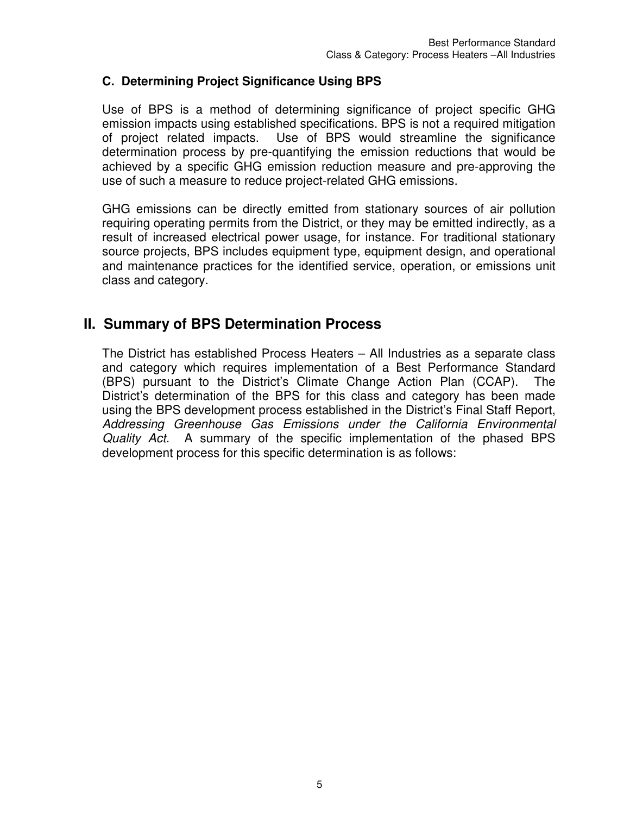## **C. Determining Project Significance Using BPS**

Use of BPS is a method of determining significance of project specific GHG emission impacts using established specifications. BPS is not a required mitigation of project related impacts. Use of BPS would streamline the significance determination process by pre-quantifying the emission reductions that would be achieved by a specific GHG emission reduction measure and pre-approving the use of such a measure to reduce project-related GHG emissions.

GHG emissions can be directly emitted from stationary sources of air pollution requiring operating permits from the District, or they may be emitted indirectly, as a result of increased electrical power usage, for instance. For traditional stationary source projects, BPS includes equipment type, equipment design, and operational and maintenance practices for the identified service, operation, or emissions unit class and category.

## **II. Summary of BPS Determination Process**

The District has established Process Heaters – All Industries as a separate class and category which requires implementation of a Best Performance Standard (BPS) pursuant to the District's Climate Change Action Plan (CCAP). The District's determination of the BPS for this class and category has been made using the BPS development process established in the District's Final Staff Report, *Addressing Greenhouse Gas Emissions under the California Environmental Quality Act.* A summary of the specific implementation of the phased BPS development process for this specific determination is as follows: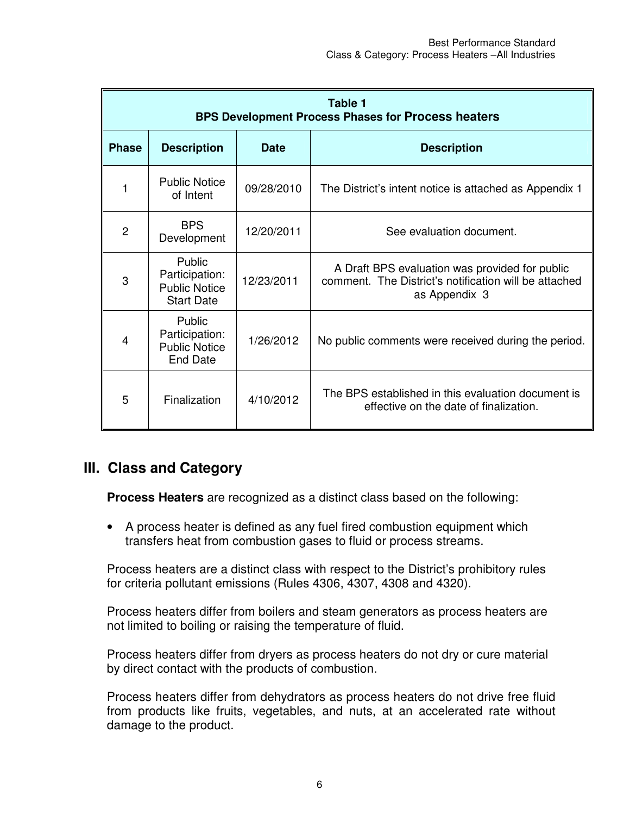|              | Table 1<br><b>BPS Development Process Phases for Process heaters</b>  |             |                                                                                                                          |
|--------------|-----------------------------------------------------------------------|-------------|--------------------------------------------------------------------------------------------------------------------------|
| <b>Phase</b> | <b>Description</b>                                                    | <b>Date</b> | <b>Description</b>                                                                                                       |
| 1            | <b>Public Notice</b><br>of Intent                                     | 09/28/2010  | The District's intent notice is attached as Appendix 1                                                                   |
| 2            | <b>BPS</b><br>Development                                             | 12/20/2011  | See evaluation document.                                                                                                 |
| 3            | Public<br>Participation:<br><b>Public Notice</b><br><b>Start Date</b> | 12/23/2011  | A Draft BPS evaluation was provided for public<br>comment. The District's notification will be attached<br>as Appendix 3 |
| 4            | Public<br>Participation:<br><b>Public Notice</b><br><b>End Date</b>   | 1/26/2012   | No public comments were received during the period.                                                                      |
| 5            | Finalization                                                          | 4/10/2012   | The BPS established in this evaluation document is<br>effective on the date of finalization.                             |

## **III. Class and Category**

**Process Heaters** are recognized as a distinct class based on the following:

• A process heater is defined as any fuel fired combustion equipment which transfers heat from combustion gases to fluid or process streams.

Process heaters are a distinct class with respect to the District's prohibitory rules for criteria pollutant emissions (Rules 4306, 4307, 4308 and 4320).

Process heaters differ from boilers and steam generators as process heaters are not limited to boiling or raising the temperature of fluid.

Process heaters differ from dryers as process heaters do not dry or cure material by direct contact with the products of combustion.

Process heaters differ from dehydrators as process heaters do not drive free fluid from products like fruits, vegetables, and nuts, at an accelerated rate without damage to the product.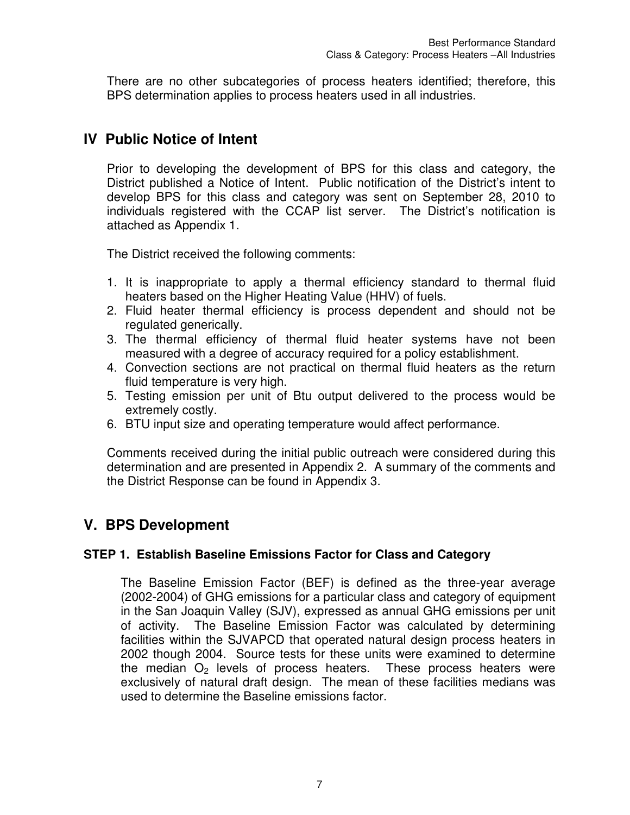There are no other subcategories of process heaters identified; therefore, this BPS determination applies to process heaters used in all industries.

## **IV Public Notice of Intent**

Prior to developing the development of BPS for this class and category, the District published a Notice of Intent. Public notification of the District's intent to develop BPS for this class and category was sent on September 28, 2010 to individuals registered with the CCAP list server. The District's notification is attached as Appendix 1.

The District received the following comments:

- 1. It is inappropriate to apply a thermal efficiency standard to thermal fluid heaters based on the Higher Heating Value (HHV) of fuels.
- 2. Fluid heater thermal efficiency is process dependent and should not be regulated generically.
- 3. The thermal efficiency of thermal fluid heater systems have not been measured with a degree of accuracy required for a policy establishment.
- 4. Convection sections are not practical on thermal fluid heaters as the return fluid temperature is very high.
- 5. Testing emission per unit of Btu output delivered to the process would be extremely costly.
- 6. BTU input size and operating temperature would affect performance.

Comments received during the initial public outreach were considered during this determination and are presented in Appendix 2. A summary of the comments and the District Response can be found in Appendix 3.

## **V. BPS Development**

## **STEP 1. Establish Baseline Emissions Factor for Class and Category**

The Baseline Emission Factor (BEF) is defined as the three-year average (2002-2004) of GHG emissions for a particular class and category of equipment in the San Joaquin Valley (SJV), expressed as annual GHG emissions per unit of activity. The Baseline Emission Factor was calculated by determining facilities within the SJVAPCD that operated natural design process heaters in 2002 though 2004. Source tests for these units were examined to determine the median  $O<sub>2</sub>$  levels of process heaters. These process heaters were exclusively of natural draft design. The mean of these facilities medians was used to determine the Baseline emissions factor.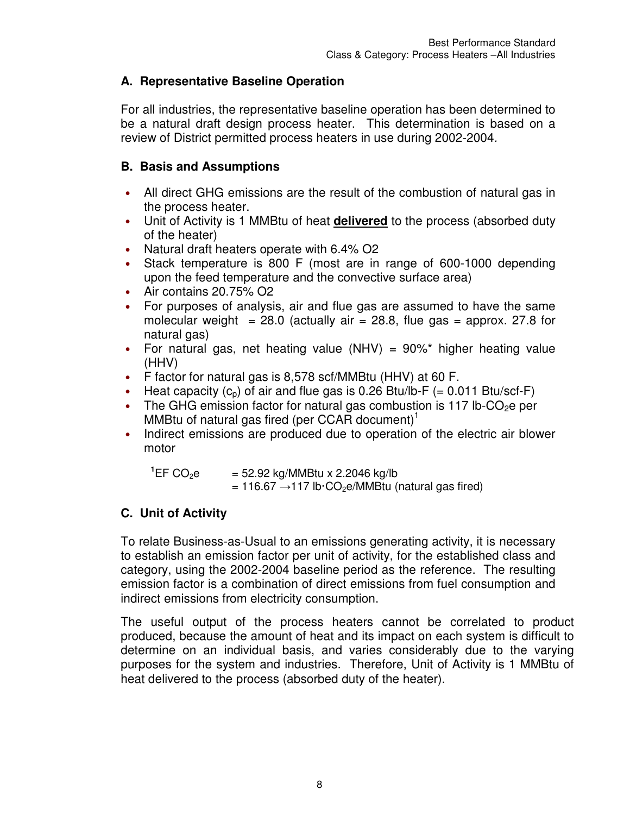## **A. Representative Baseline Operation**

For all industries, the representative baseline operation has been determined to be a natural draft design process heater. This determination is based on a review of District permitted process heaters in use during 2002-2004*.*

## **B. Basis and Assumptions**

- All direct GHG emissions are the result of the combustion of natural gas in the process heater.
- Unit of Activity is 1 MMBtu of heat **delivered** to the process (absorbed duty of the heater)
- Natural draft heaters operate with 6.4% O2
- Stack temperature is 800 F (most are in range of 600-1000 depending upon the feed temperature and the convective surface area)
- Air contains 20.75% O2
- For purposes of analysis, air and flue gas are assumed to have the same molecular weight =  $28.0$  (actually air =  $28.8$ , flue gas = approx. 27.8 for natural gas)
- For natural gas, net heating value (NHV) =  $90\%$ <sup>\*</sup> higher heating value (HHV)
- F factor for natural gas is 8,578 scf/MMBtu (HHV) at 60 F.
- Heat capacity  $(c_p)$  of air and flue gas is 0.26 Btu/lb-F (= 0.011 Btu/scf-F)
- The GHG emission factor for natural gas combustion is 117 lb-CO<sub>2</sub>e per MMBtu of natural gas fired (per CCAR document)<sup>1</sup>
- Indirect emissions are produced due to operation of the electric air blower motor

 $^{1}$ EF CO<sub>2</sub>e  $=$  52.92 kg/MMBtu x 2.2046 kg/lb  $= 116.67 \rightarrow 117$  lb·CO<sub>2</sub>e/MMBtu (natural gas fired)

## **C. Unit of Activity**

To relate Business-as-Usual to an emissions generating activity, it is necessary to establish an emission factor per unit of activity, for the established class and category, using the 2002-2004 baseline period as the reference. The resulting emission factor is a combination of direct emissions from fuel consumption and indirect emissions from electricity consumption.

The useful output of the process heaters cannot be correlated to product produced, because the amount of heat and its impact on each system is difficult to determine on an individual basis, and varies considerably due to the varying purposes for the system and industries. Therefore, Unit of Activity is 1 MMBtu of heat delivered to the process (absorbed duty of the heater).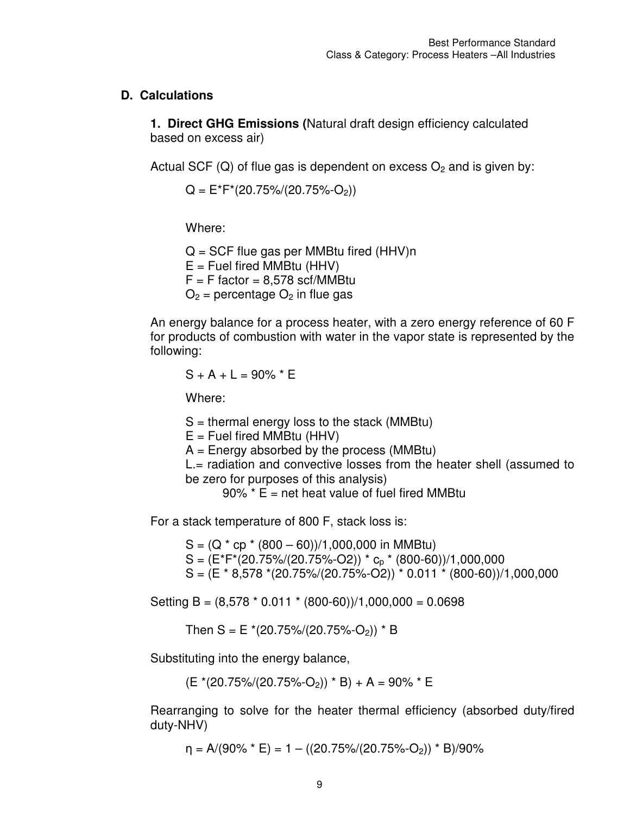### **D. Calculations**

**1. Direct GHG Emissions (**Natural draft design efficiency calculated based on excess air)

Actual SCF (Q) of flue gas is dependent on excess  $O<sub>2</sub>$  and is given by:

 $Q = E^*F^*(20.75\%/20.75\%-O_2)$ 

Where:

 $Q = SCF$  flue gas per MMBtu fired (HHV)n  $E =$  Fuel fired MMBtu (HHV)  $F = F$  factor = 8,578 scf/MMBtu  $O<sub>2</sub>$  = percentage  $O<sub>2</sub>$  in flue gas

An energy balance for a process heater, with a zero energy reference of 60 F for products of combustion with water in the vapor state is represented by the following:

$$
S + A + L = 90\% * E
$$

Where:

 $S =$  thermal energy loss to the stack (MMBtu)

 $E =$  Fuel fired MMBtu (HHV)

 $A =$  Energy absorbed by the process (MMBtu)

L.= radiation and convective losses from the heater shell (assumed to be zero for purposes of this analysis)

 $90\%$  \* E = net heat value of fuel fired MMBtu

For a stack temperature of 800 F, stack loss is:

 $S = (Q * cp * (800 - 60))/1,000,000$  in MMBtu)  $S = (E^*F^*(20.75\%/20.75\%-O2)) * c_p * (800-60))/1,000,000$  $S = (E * 8.578 * (20.75)/(20.75) - 0.011 * (800 - 60))/1,000,000$ 

Setting B =  $(8.578 * 0.011 * (800-60))/1,000,000 = 0.0698$ 

Then  $S = E*(20.75\%/20.75\%-O_2)) * B$ 

Substituting into the energy balance,

 $(E*(20.75)/(20.75\,-O_2))$  \* B + A = 90% \* E

Rearranging to solve for the heater thermal efficiency (absorbed duty/fired duty-NHV)

 $\eta = A/(90\% * E) = 1 - ((20.75\%/20.75\%-O_2)) * B)/90\%$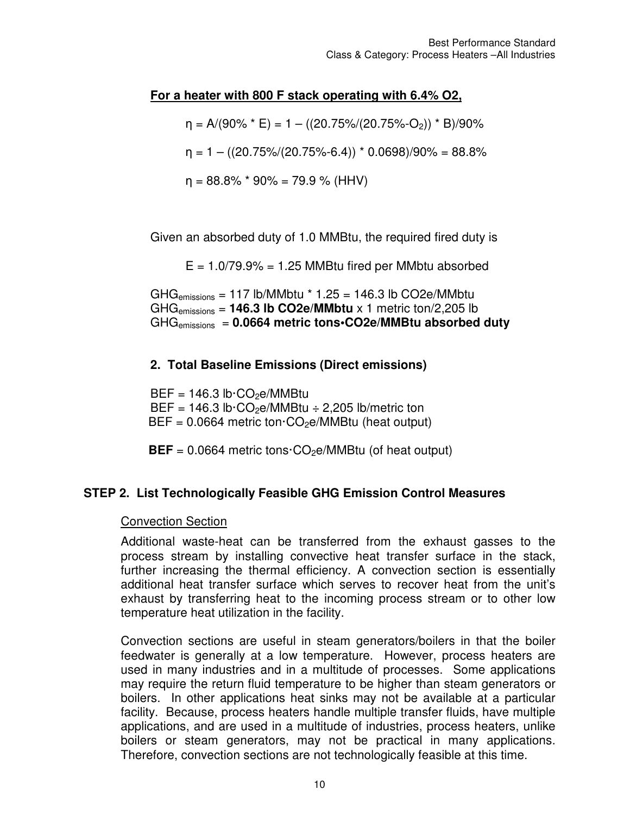### **For a heater with 800 F stack operating with 6.4% O2,**

 $\eta = A/(90\% * E) = 1 - ((20.75\%/20.75\% - O_2)) * B)/90\%$ 

 $\eta = 1 - ((20.75\%/20.75\%-6.4)) * 0.0698)/90\% = 88.8\%$ 

 $\eta = 88.8\%$  \* 90% = 79.9 % (HHV)

Given an absorbed duty of 1.0 MMBtu, the required fired duty is

 $E = 1.079.9\% = 1.25$  MMBtu fired per MMbtu absorbed

 $GHG<sub>emissions</sub> = 117 lb/MMbtu * 1.25 = 146.3 lb CO2e/MMbtu$ GHGemissions = **146.3 lb CO2e/MMbtu** x 1 metric ton/2,205 lb GHGemissions = **0.0664 metric tons•CO2e/MMBtu absorbed duty**

#### **2. Total Baseline Emissions (Direct emissions)**

 $BEF = 146.3 lb \cdot CO<sub>2</sub>e/MMBtu$ BEF =  $146.3$  lb·CO<sub>2</sub>e/MMBtu  $\div$  2,205 lb/metric ton  $BEF = 0.0664$  metric ton  $CO<sub>2</sub>e/MMB$ tu (heat output)

 $BEF = 0.0664$  metric tons $\cdot CO_2e/MMB$ tu (of heat output)

#### **STEP 2. List Technologically Feasible GHG Emission Control Measures**

#### Convection Section

Additional waste-heat can be transferred from the exhaust gasses to the process stream by installing convective heat transfer surface in the stack, further increasing the thermal efficiency. A convection section is essentially additional heat transfer surface which serves to recover heat from the unit's exhaust by transferring heat to the incoming process stream or to other low temperature heat utilization in the facility.

Convection sections are useful in steam generators/boilers in that the boiler feedwater is generally at a low temperature. However, process heaters are used in many industries and in a multitude of processes. Some applications may require the return fluid temperature to be higher than steam generators or boilers. In other applications heat sinks may not be available at a particular facility. Because, process heaters handle multiple transfer fluids, have multiple applications, and are used in a multitude of industries, process heaters, unlike boilers or steam generators, may not be practical in many applications. Therefore, convection sections are not technologically feasible at this time.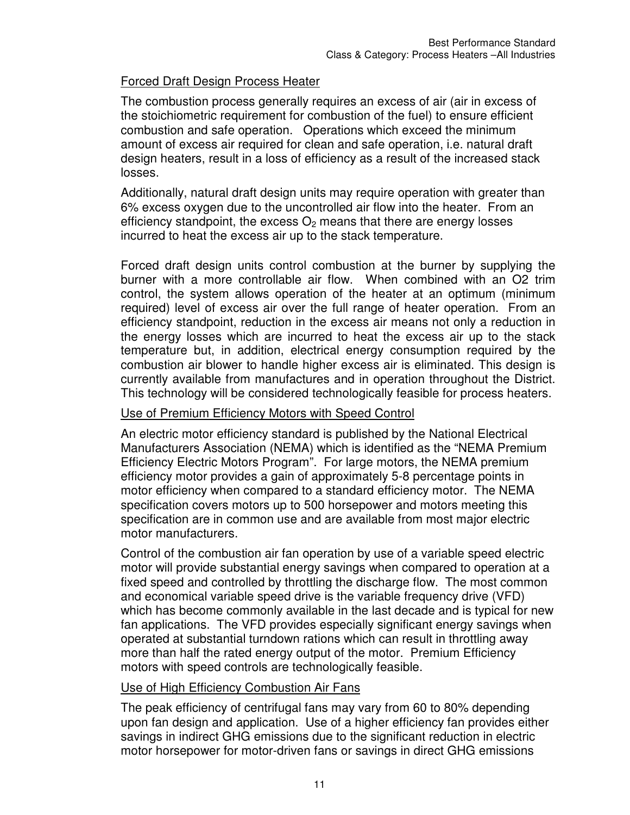## Forced Draft Design Process Heater

The combustion process generally requires an excess of air (air in excess of the stoichiometric requirement for combustion of the fuel) to ensure efficient combustion and safe operation. Operations which exceed the minimum amount of excess air required for clean and safe operation, i.e. natural draft design heaters, result in a loss of efficiency as a result of the increased stack losses.

Additionally, natural draft design units may require operation with greater than 6% excess oxygen due to the uncontrolled air flow into the heater. From an efficiency standpoint, the excess  $O<sub>2</sub>$  means that there are energy losses incurred to heat the excess air up to the stack temperature.

Forced draft design units control combustion at the burner by supplying the burner with a more controllable air flow. When combined with an O2 trim control, the system allows operation of the heater at an optimum (minimum required) level of excess air over the full range of heater operation. From an efficiency standpoint, reduction in the excess air means not only a reduction in the energy losses which are incurred to heat the excess air up to the stack temperature but, in addition, electrical energy consumption required by the combustion air blower to handle higher excess air is eliminated. This design is currently available from manufactures and in operation throughout the District. This technology will be considered technologically feasible for process heaters.

## Use of Premium Efficiency Motors with Speed Control

An electric motor efficiency standard is published by the National Electrical Manufacturers Association (NEMA) which is identified as the "NEMA Premium Efficiency Electric Motors Program". For large motors, the NEMA premium efficiency motor provides a gain of approximately 5-8 percentage points in motor efficiency when compared to a standard efficiency motor. The NEMA specification covers motors up to 500 horsepower and motors meeting this specification are in common use and are available from most major electric motor manufacturers.

Control of the combustion air fan operation by use of a variable speed electric motor will provide substantial energy savings when compared to operation at a fixed speed and controlled by throttling the discharge flow. The most common and economical variable speed drive is the variable frequency drive (VFD) which has become commonly available in the last decade and is typical for new fan applications. The VFD provides especially significant energy savings when operated at substantial turndown rations which can result in throttling away more than half the rated energy output of the motor. Premium Efficiency motors with speed controls are technologically feasible.

## Use of High Efficiency Combustion Air Fans

The peak efficiency of centrifugal fans may vary from 60 to 80% depending upon fan design and application. Use of a higher efficiency fan provides either savings in indirect GHG emissions due to the significant reduction in electric motor horsepower for motor-driven fans or savings in direct GHG emissions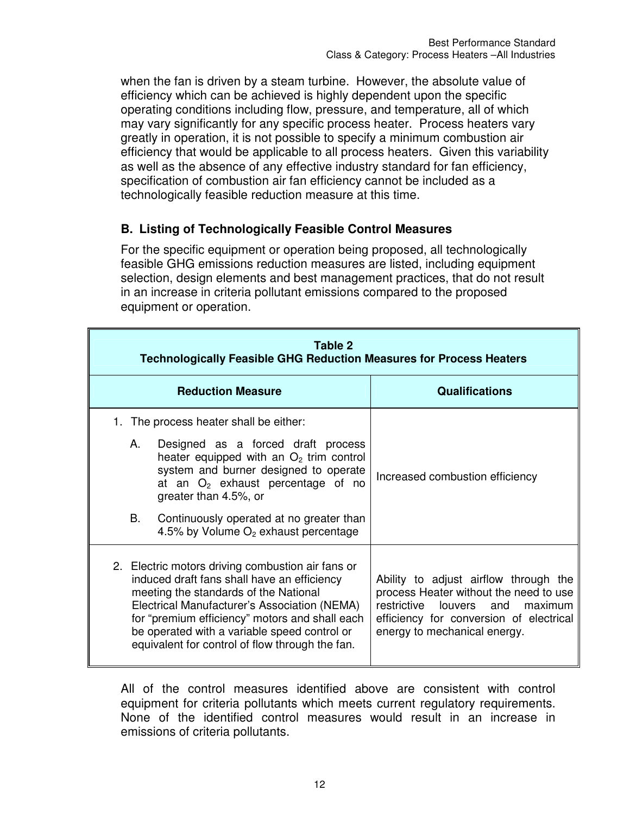when the fan is driven by a steam turbine. However, the absolute value of efficiency which can be achieved is highly dependent upon the specific operating conditions including flow, pressure, and temperature, all of which may vary significantly for any specific process heater. Process heaters vary greatly in operation, it is not possible to specify a minimum combustion air efficiency that would be applicable to all process heaters. Given this variability as well as the absence of any effective industry standard for fan efficiency, specification of combustion air fan efficiency cannot be included as a technologically feasible reduction measure at this time.

### **B. Listing of Technologically Feasible Control Measures**

For the specific equipment or operation being proposed, all technologically feasible GHG emissions reduction measures are listed, including equipment selection, design elements and best management practices, that do not result in an increase in criteria pollutant emissions compared to the proposed equipment or operation.

|    | Table 2<br><b>Technologically Feasible GHG Reduction Measures for Process Heaters</b>                                                                                                                                                                                                                                                          |                                                                                                                                                                                               |  |  |
|----|------------------------------------------------------------------------------------------------------------------------------------------------------------------------------------------------------------------------------------------------------------------------------------------------------------------------------------------------|-----------------------------------------------------------------------------------------------------------------------------------------------------------------------------------------------|--|--|
|    | <b>Reduction Measure</b>                                                                                                                                                                                                                                                                                                                       | <b>Qualifications</b>                                                                                                                                                                         |  |  |
| Α. | 1. The process heater shall be either:<br>Designed as a forced draft process                                                                                                                                                                                                                                                                   |                                                                                                                                                                                               |  |  |
|    | heater equipped with an $O2$ trim control<br>system and burner designed to operate<br>at an $O_2$ exhaust percentage of no<br>greater than 4.5%, or                                                                                                                                                                                            | Increased combustion efficiency                                                                                                                                                               |  |  |
| B. | Continuously operated at no greater than<br>4.5% by Volume $O2$ exhaust percentage                                                                                                                                                                                                                                                             |                                                                                                                                                                                               |  |  |
|    | 2. Electric motors driving combustion air fans or<br>induced draft fans shall have an efficiency<br>meeting the standards of the National<br>Electrical Manufacturer's Association (NEMA)<br>for "premium efficiency" motors and shall each<br>be operated with a variable speed control or<br>equivalent for control of flow through the fan. | Ability to adjust airflow through the<br>process Heater without the need to use<br>restrictive louvers and maximum<br>efficiency for conversion of electrical<br>energy to mechanical energy. |  |  |

All of the control measures identified above are consistent with control equipment for criteria pollutants which meets current regulatory requirements. None of the identified control measures would result in an increase in emissions of criteria pollutants.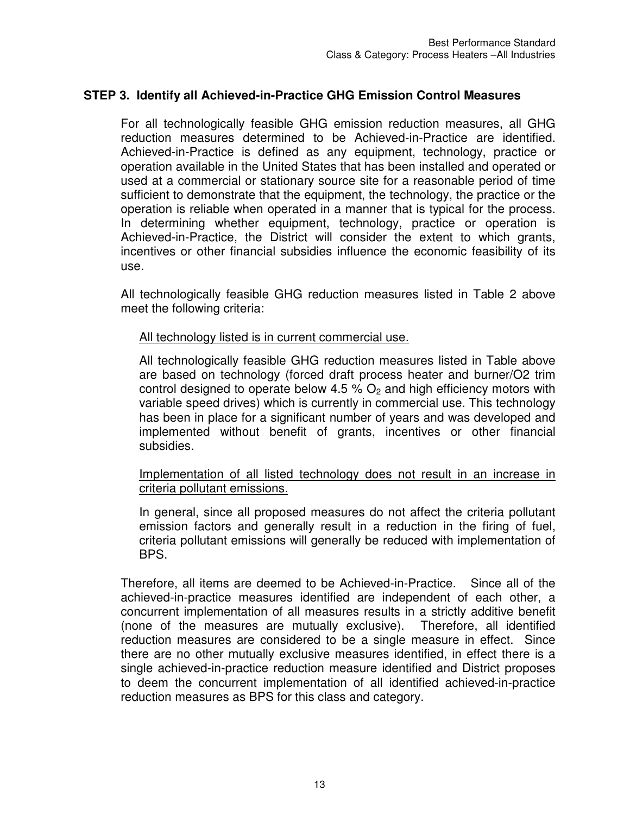### **STEP 3. Identify all Achieved-in-Practice GHG Emission Control Measures**

For all technologically feasible GHG emission reduction measures, all GHG reduction measures determined to be Achieved-in-Practice are identified. Achieved-in-Practice is defined as any equipment, technology, practice or operation available in the United States that has been installed and operated or used at a commercial or stationary source site for a reasonable period of time sufficient to demonstrate that the equipment, the technology, the practice or the operation is reliable when operated in a manner that is typical for the process. In determining whether equipment, technology, practice or operation is Achieved-in-Practice, the District will consider the extent to which grants, incentives or other financial subsidies influence the economic feasibility of its use.

All technologically feasible GHG reduction measures listed in Table 2 above meet the following criteria:

#### All technology listed is in current commercial use.

All technologically feasible GHG reduction measures listed in Table above are based on technology (forced draft process heater and burner/O2 trim control designed to operate below 4.5 %  $O<sub>2</sub>$  and high efficiency motors with variable speed drives) which is currently in commercial use. This technology has been in place for a significant number of years and was developed and implemented without benefit of grants, incentives or other financial subsidies.

#### Implementation of all listed technology does not result in an increase in criteria pollutant emissions.

In general, since all proposed measures do not affect the criteria pollutant emission factors and generally result in a reduction in the firing of fuel, criteria pollutant emissions will generally be reduced with implementation of BPS.

Therefore, all items are deemed to be Achieved-in-Practice. Since all of the achieved-in-practice measures identified are independent of each other, a concurrent implementation of all measures results in a strictly additive benefit (none of the measures are mutually exclusive). Therefore, all identified reduction measures are considered to be a single measure in effect. Since there are no other mutually exclusive measures identified, in effect there is a single achieved-in-practice reduction measure identified and District proposes to deem the concurrent implementation of all identified achieved-in-practice reduction measures as BPS for this class and category.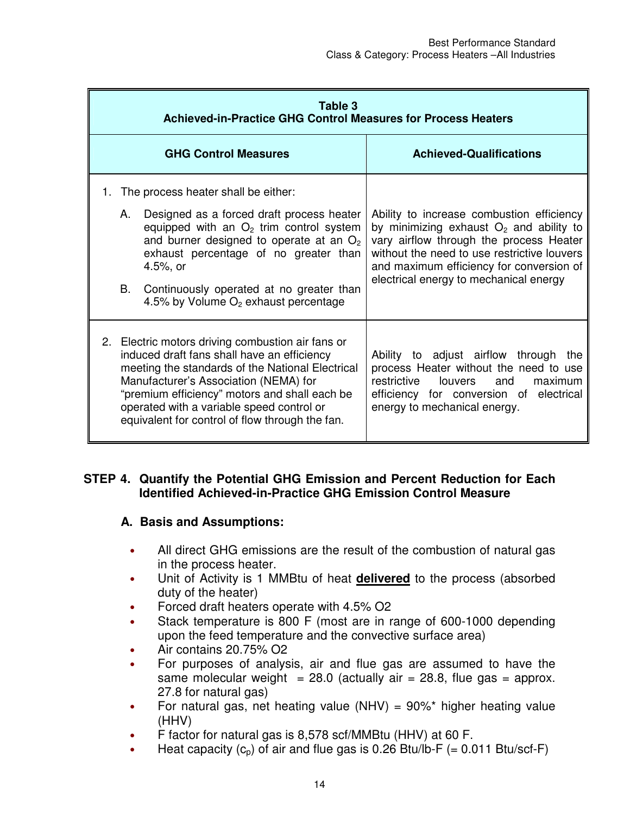|    | Table 3<br><b>Achieved-in-Practice GHG Control Measures for Process Heaters</b>                                                                                                                                                                                                                                                                |                                                                                                                                                                                                                                                                                                                       |                                                                                                                                                                                                                                                                        |
|----|------------------------------------------------------------------------------------------------------------------------------------------------------------------------------------------------------------------------------------------------------------------------------------------------------------------------------------------------|-----------------------------------------------------------------------------------------------------------------------------------------------------------------------------------------------------------------------------------------------------------------------------------------------------------------------|------------------------------------------------------------------------------------------------------------------------------------------------------------------------------------------------------------------------------------------------------------------------|
|    |                                                                                                                                                                                                                                                                                                                                                | <b>GHG Control Measures</b>                                                                                                                                                                                                                                                                                           | <b>Achieved-Qualifications</b>                                                                                                                                                                                                                                         |
| 1. | А.<br>B.                                                                                                                                                                                                                                                                                                                                       | The process heater shall be either:<br>Designed as a forced draft process heater<br>equipped with an $O2$ trim control system<br>and burner designed to operate at an $O2$<br>exhaust percentage of no greater than<br>4.5%, or<br>Continuously operated at no greater than<br>4.5% by Volume $O2$ exhaust percentage | Ability to increase combustion efficiency<br>by minimizing exhaust $O2$ and ability to<br>vary airflow through the process Heater<br>without the need to use restrictive louvers<br>and maximum efficiency for conversion of<br>electrical energy to mechanical energy |
|    | 2. Electric motors driving combustion air fans or<br>induced draft fans shall have an efficiency<br>meeting the standards of the National Electrical<br>Manufacturer's Association (NEMA) for<br>"premium efficiency" motors and shall each be<br>operated with a variable speed control or<br>equivalent for control of flow through the fan. |                                                                                                                                                                                                                                                                                                                       | Ability to adjust airflow through<br>the<br>process Heater without the need to use<br>louvers<br>restrictive<br>and<br>maximum<br>efficiency for conversion of electrical<br>energy to mechanical energy.                                                              |

## **STEP 4. Quantify the Potential GHG Emission and Percent Reduction for Each Identified Achieved-in-Practice GHG Emission Control Measure**

## **A. Basis and Assumptions:**

- All direct GHG emissions are the result of the combustion of natural gas in the process heater.
- Unit of Activity is 1 MMBtu of heat **delivered** to the process (absorbed duty of the heater)
- Forced draft heaters operate with 4.5% O2
- Stack temperature is 800 F (most are in range of 600-1000 depending upon the feed temperature and the convective surface area)
- Air contains 20.75% O2
- For purposes of analysis, air and flue gas are assumed to have the same molecular weight = 28.0 (actually air = 28.8, flue gas = approx. 27.8 for natural gas)
- For natural gas, net heating value (NHV) =  $90\%$ \* higher heating value (HHV)
- F factor for natural gas is 8,578 scf/MMBtu (HHV) at 60 F.
- Heat capacity  $(c_p)$  of air and flue gas is 0.26 Btu/lb-F (= 0.011 Btu/scf-F)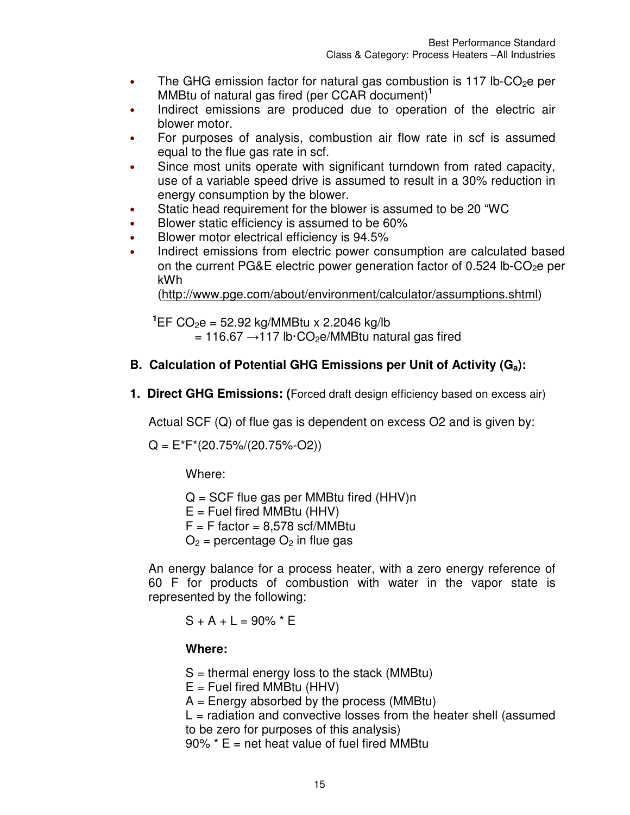- The GHG emission factor for natural gas combustion is 117 lb-CO<sub>2</sub>e per MMBtu of natural gas fired (per CCAR document)**<sup>1</sup>**
- Indirect emissions are produced due to operation of the electric air blower motor.
- For purposes of analysis, combustion air flow rate in scf is assumed equal to the flue gas rate in scf.
- Since most units operate with significant turndown from rated capacity, use of a variable speed drive is assumed to result in a 30% reduction in energy consumption by the blower.
- Static head requirement for the blower is assumed to be 20 "WC
- Blower static efficiency is assumed to be 60%
- Blower motor electrical efficiency is 94.5%
- Indirect emissions from electric power consumption are calculated based on the current PG&E electric power generation factor of  $0.524$  lb-CO<sub>2</sub>e per kWh

(http://www.pge.com/about/environment/calculator/assumptions.shtml)

**<sup>1</sup>**EF CO2e = 52.92 kg/MMBtu x 2.2046 kg/lb  $= 116.67 \rightarrow 117$  lb·CO<sub>2</sub>e/MMBtu natural gas fired

## **B. Calculation of Potential GHG Emissions per Unit of Activity (Ga):**

**1. Direct GHG Emissions: (**Forced draft design efficiency based on excess air)

Actual SCF (Q) of flue gas is dependent on excess O2 and is given by:

 $Q = E^*F^*(20.75\%/20.75\%-O2)$ 

Where:

 $Q = SCF$  flue gas per MMBtu fired (HHV)n  $E =$  Fuel fired MMBtu (HHV)  $F = F$  factor = 8,578 scf/MMBtu  $O_2$  = percentage  $O_2$  in flue gas

An energy balance for a process heater, with a zero energy reference of 60 F for products of combustion with water in the vapor state is represented by the following:

 $S + A + L = 90\%$  \* E

#### **Where:**

 $S =$  thermal energy loss to the stack (MMBtu)

 $E =$  Fuel fired MMBtu (HHV)

 $A =$  Energy absorbed by the process (MMBtu)

 $L =$  radiation and convective losses from the heater shell (assumed to be zero for purposes of this analysis)

 $90\%$  \* E = net heat value of fuel fired MMBtu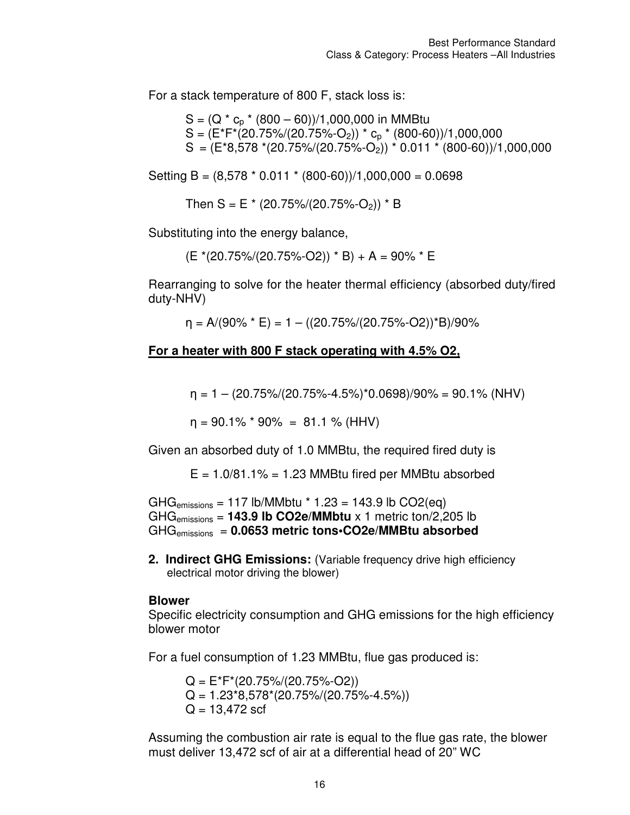For a stack temperature of 800 F, stack loss is:

 $S = (Q * c_n * (800 - 60))/1,000,000$  in MMBtu  $S = (E^*F^*(20.75\%/20.75\%-O_2))^* c_0^* (800-60))/1,000,000$  $S = (E*8,578*(20.75)/(20.75)(-0.75)(-0.011*(800-60))/1,000,000$ 

Setting B =  $(8.578 * 0.011 * (800-60))/1,000,000 = 0.0698$ 

Then S = E  $*(20.75\%/20.75\%-O_2))$  \* B

Substituting into the energy balance,

 $(E*(20.75)/(20.75)/(-02))$  \* B) + A = 90% \* E

Rearranging to solve for the heater thermal efficiency (absorbed duty/fired duty-NHV)

 $\eta = A/(90\% * E) = 1 - ((20.75\%/20.75\%-O2))^*B)/90\%$ 

#### **For a heater with 800 F stack operating with 4.5% O2,**

 $\eta = 1 - (20.75\%/20.75\%-4.5\%)^*0.0698)/90\% = 90.1\% (NHV)$ 

 $n = 90.1\%$  \* 90% = 81.1 % (HHV)

Given an absorbed duty of 1.0 MMBtu, the required fired duty is

 $E = 1.0/81.1\% = 1.23$  MMBtu fired per MMBtu absorbed

 $GHG_{emissions} = 117$  lb/MMbtu  $*$  1.23 = 143.9 lb CO2(eq) GHGemissions = **143.9 lb CO2e/MMbtu** x 1 metric ton/2,205 lb GHGemissions = **0.0653 metric tons•CO2e/MMBtu absorbed**

**2. Indirect GHG Emissions:** (Variable frequency drive high efficiency electrical motor driving the blower)

#### **Blower**

Specific electricity consumption and GHG emissions for the high efficiency blower motor

For a fuel consumption of 1.23 MMBtu, flue gas produced is:

 $Q = E^*F^*(20.75\%/20.75\%-O2))$  $Q = 1.23*8,578*(20.75)/(20.75)/(4.5%)$  $Q = 13,472$  scf

Assuming the combustion air rate is equal to the flue gas rate, the blower must deliver 13,472 scf of air at a differential head of 20" WC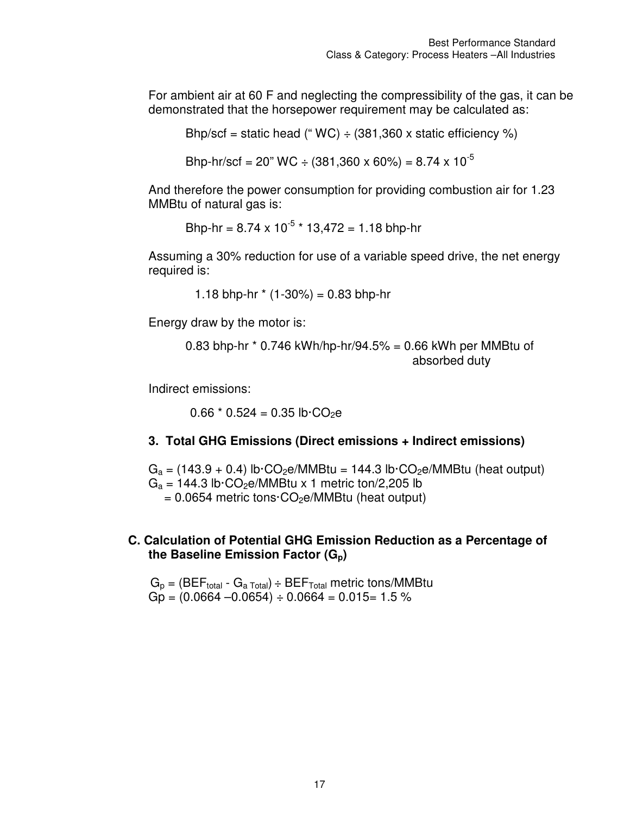For ambient air at 60 F and neglecting the compressibility of the gas, it can be demonstrated that the horsepower requirement may be calculated as:

Bhp/scf = static head (" $WC$ ) ÷ (381,360 x static efficiency %)

Bhp-hr/scf = 20" WC ÷ (381,360 x 60%) = 8.74 x 10<sup>-5</sup>

And therefore the power consumption for providing combustion air for 1.23 MMBtu of natural gas is:

Bhp-hr =  $8.74 \times 10^{-5}$  \*  $13,472 = 1.18$  bhp-hr

Assuming a 30% reduction for use of a variable speed drive, the net energy required is:

1.18 bhp-hr  $*(1-30\%) = 0.83$  bhp-hr

Energy draw by the motor is:

0.83 bhp-hr \* 0.746 kWh/hp-hr/94.5% = 0.66 kWh per MMBtu of absorbed duty

Indirect emissions:

 $0.66 * 0.524 = 0.35$  lb $\cdot CO_2$ e

#### **3. Total GHG Emissions (Direct emissions + Indirect emissions)**

 $G_a = (143.9 + 0.4)$  lb·CO<sub>2</sub>e/MMBtu = 144.3 lb·CO<sub>2</sub>e/MMBtu (heat output)  $G_a = 144.3$  lb·CO<sub>2</sub>e/MMBtu x 1 metric ton/2,205 lb  $= 0.0654$  metric tons $\cdot CO_2e/MM$ Btu (heat output)

#### **C. Calculation of Potential GHG Emission Reduction as a Percentage of the Baseline Emission Factor (Gp)**

 $G_p = (BEF_{total} - G_{a Total}) \div BEF_{Total}$  metric tons/MMBtu  $Gp = (0.0664 - 0.0654) \div 0.0664 = 0.015 = 1.5 \%$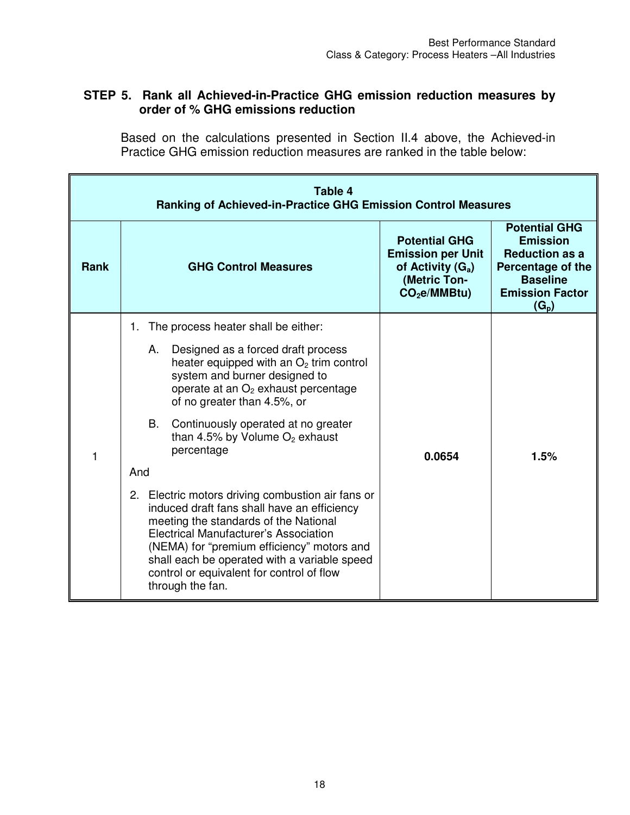## **STEP 5. Rank all Achieved-in-Practice GHG emission reduction measures by order of % GHG emissions reduction**

Based on the calculations presented in Section II.4 above, the Achieved-in Practice GHG emission reduction measures are ranked in the table below:

|             | Table 4<br>Ranking of Achieved-in-Practice GHG Emission Control Measures                                                                                                                                                                                                                                                                          |                                                                                                                     |                                                                                                                                               |
|-------------|---------------------------------------------------------------------------------------------------------------------------------------------------------------------------------------------------------------------------------------------------------------------------------------------------------------------------------------------------|---------------------------------------------------------------------------------------------------------------------|-----------------------------------------------------------------------------------------------------------------------------------------------|
| <b>Rank</b> | <b>GHG Control Measures</b>                                                                                                                                                                                                                                                                                                                       | <b>Potential GHG</b><br><b>Emission per Unit</b><br>of Activity $(G_a)$<br>(Metric Ton-<br>CO <sub>2</sub> e/MMBtu) | <b>Potential GHG</b><br><b>Emission</b><br><b>Reduction as a</b><br>Percentage of the<br><b>Baseline</b><br><b>Emission Factor</b><br>$(G_p)$ |
|             | The process heater shall be either:<br>1.                                                                                                                                                                                                                                                                                                         |                                                                                                                     |                                                                                                                                               |
|             | Designed as a forced draft process<br>А.<br>heater equipped with an $O2$ trim control<br>system and burner designed to<br>operate at an O <sub>2</sub> exhaust percentage<br>of no greater than 4.5%, or                                                                                                                                          |                                                                                                                     |                                                                                                                                               |
| 1           | <b>B.</b><br>Continuously operated at no greater<br>than 4.5% by Volume $O_2$ exhaust<br>percentage                                                                                                                                                                                                                                               | 0.0654                                                                                                              | 1.5%                                                                                                                                          |
|             | And                                                                                                                                                                                                                                                                                                                                               |                                                                                                                     |                                                                                                                                               |
|             | 2. Electric motors driving combustion air fans or<br>induced draft fans shall have an efficiency<br>meeting the standards of the National<br>Electrical Manufacturer's Association<br>(NEMA) for "premium efficiency" motors and<br>shall each be operated with a variable speed<br>control or equivalent for control of flow<br>through the fan. |                                                                                                                     |                                                                                                                                               |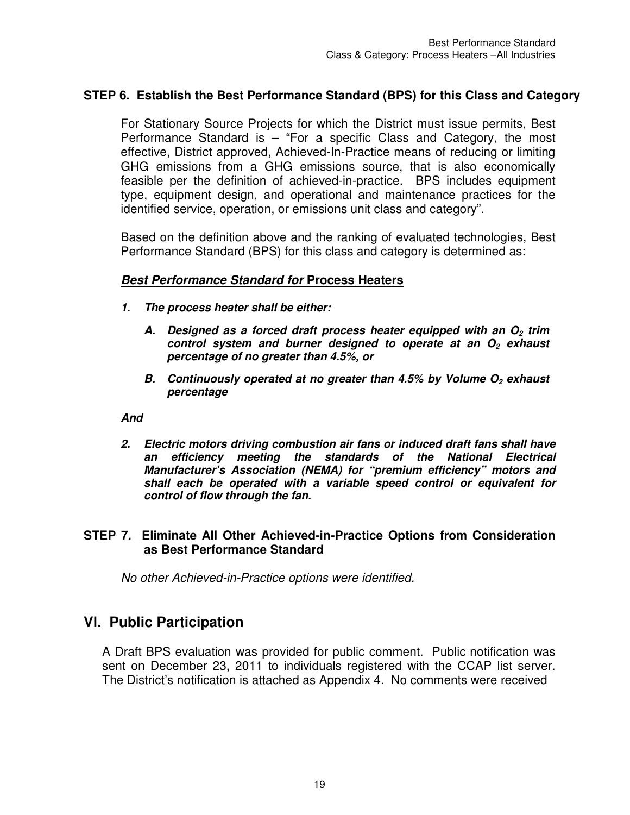## **STEP 6. Establish the Best Performance Standard (BPS) for this Class and Category**

For Stationary Source Projects for which the District must issue permits, Best Performance Standard is – "For a specific Class and Category, the most effective, District approved, Achieved-In-Practice means of reducing or limiting GHG emissions from a GHG emissions source, that is also economically feasible per the definition of achieved-in-practice. BPS includes equipment type, equipment design, and operational and maintenance practices for the identified service, operation, or emissions unit class and category".

Based on the definition above and the ranking of evaluated technologies, Best Performance Standard (BPS) for this class and category is determined as:

#### *Best Performance Standard for* **Process Heaters**

- *1. The process heater shall be either:* 
	- *A. Designed as a forced draft process heater equipped with an O2 trim control system and burner designed to operate at an O2 exhaust percentage of no greater than 4.5%, or*
	- *B. Continuously operated at no greater than 4.5% by Volume O2 exhaust percentage*

*And* 

*2. Electric motors driving combustion air fans or induced draft fans shall have an efficiency meeting the standards of the National Electrical Manufacturer's Association (NEMA) for "premium efficiency" motors and shall each be operated with a variable speed control or equivalent for control of flow through the fan.* 

#### **STEP 7. Eliminate All Other Achieved-in-Practice Options from Consideration as Best Performance Standard**

*No other Achieved-in-Practice options were identified.* 

## **Vl. Public Participation**

A Draft BPS evaluation was provided for public comment. Public notification was sent on December 23, 2011 to individuals registered with the CCAP list server. The District's notification is attached as Appendix 4. No comments were received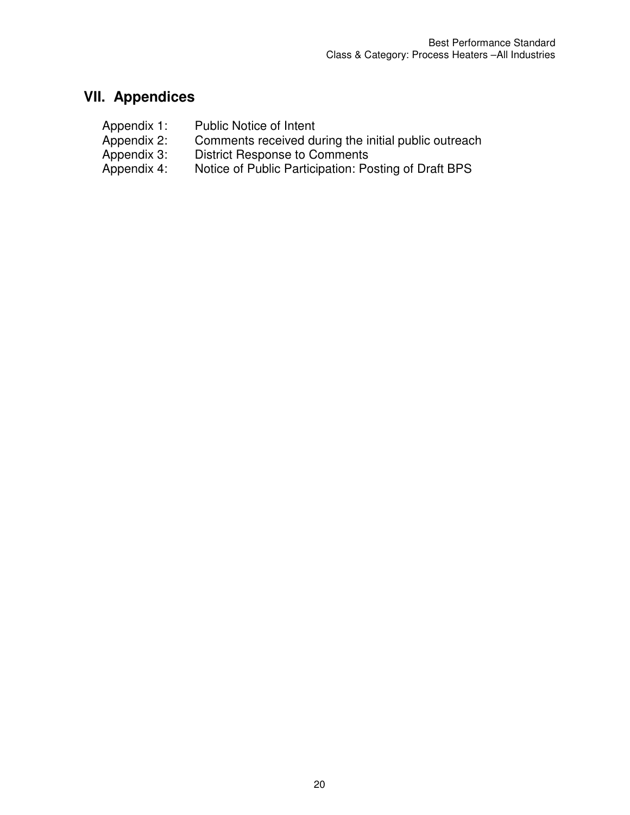# **VII. Appendices**

- Appendix 1: Public Notice of Intent<br>Appendix 2: Comments received du
- Appendix 2: Comments received during the initial public outreach<br>Appendix 3: District Response to Comments
- Appendix 3: District Response to Comments<br>Appendix 4: Notice of Public Participation: Po
- Notice of Public Participation: Posting of Draft BPS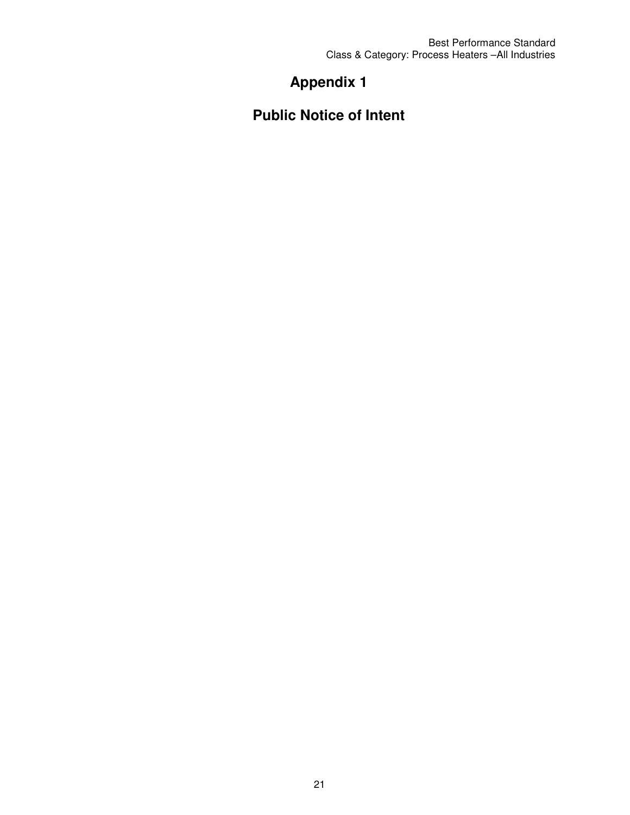Best Performance Standard Class & Category: Process Heaters –All Industries

# **Appendix 1**

**Public Notice of Intent**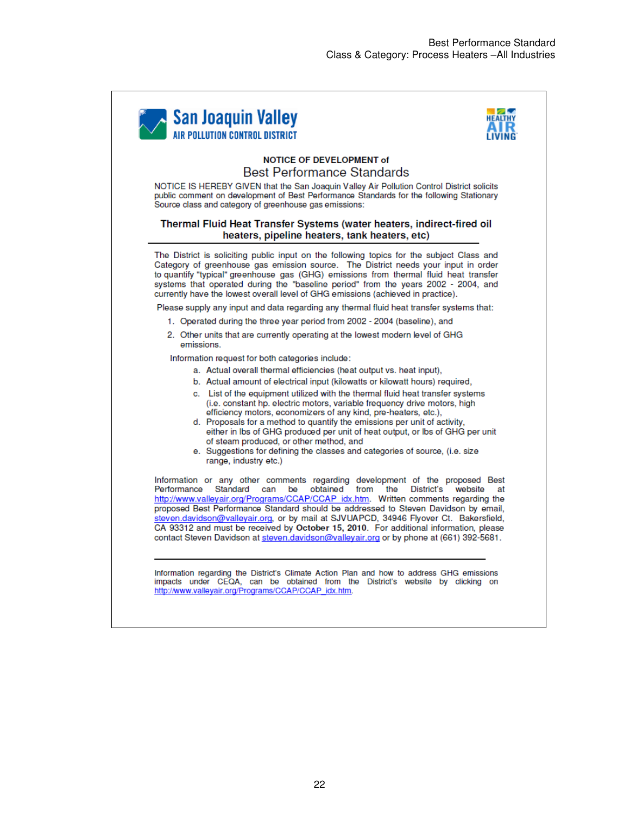



#### **NOTICE OF DEVELOPMENT of Best Performance Standards**

NOTICE IS HEREBY GIVEN that the San Joaquin Valley Air Pollution Control District solicits public comment on development of Best Performance Standards for the following Stationary Source class and category of greenhouse gas emissions:

#### Thermal Fluid Heat Transfer Systems (water heaters, indirect-fired oil heaters, pipeline heaters, tank heaters, etc)

The District is soliciting public input on the following topics for the subject Class and Category of greenhouse gas emission source. The District needs your input in order to quantify "typical" greenhouse gas (GHG) emissions from thermal fluid heat transfer systems that operated during the "baseline period" from the years 2002 - 2004, and currently have the lowest overall level of GHG emissions (achieved in practice).

Please supply any input and data regarding any thermal fluid heat transfer systems that:

- 1. Operated during the three year period from 2002 2004 (baseline), and
- 2. Other units that are currently operating at the lowest modern level of GHG emissions.

Information request for both categories include:

- a. Actual overall thermal efficiencies (heat output vs. heat input),
- b. Actual amount of electrical input (kilowatts or kilowatt hours) required,
- c. List of the equipment utilized with the thermal fluid heat transfer systems (i.e. constant hp. electric motors, variable frequency drive motors, high efficiency motors, economizers of any kind, pre-heaters, etc.),
- d. Proposals for a method to quantify the emissions per unit of activity, either in Ibs of GHG produced per unit of heat output, or Ibs of GHG per unit of steam produced, or other method, and
- e. Suggestions for defining the classes and categories of source, (i.e. size range, industry etc.)

Information or any other comments regarding development of the proposed Best Performance Standard can be obtained from the District's website at http://www.valleyair.org/Programs/CCAP/CCAP idx.htm. Written comments regarding the proposed Best Performance Standard should be addressed to Steven Davidson by email, steven.davidson@valleyair.org, or by mail at SJVUAPCD, 34946 Flyover Ct. Bakersfield, CA 93312 and must be received by October 15, 2010. For additional information, please contact Steven Davidson at steven.davidson@valleyair.org or by phone at (661) 392-5681.

Information regarding the District's Climate Action Plan and how to address GHG emissions impacts under CEQA, can be obtained from the District's website by clicking on http://www.valleyair.org/Programs/CCAP/CCAP\_idx.htm.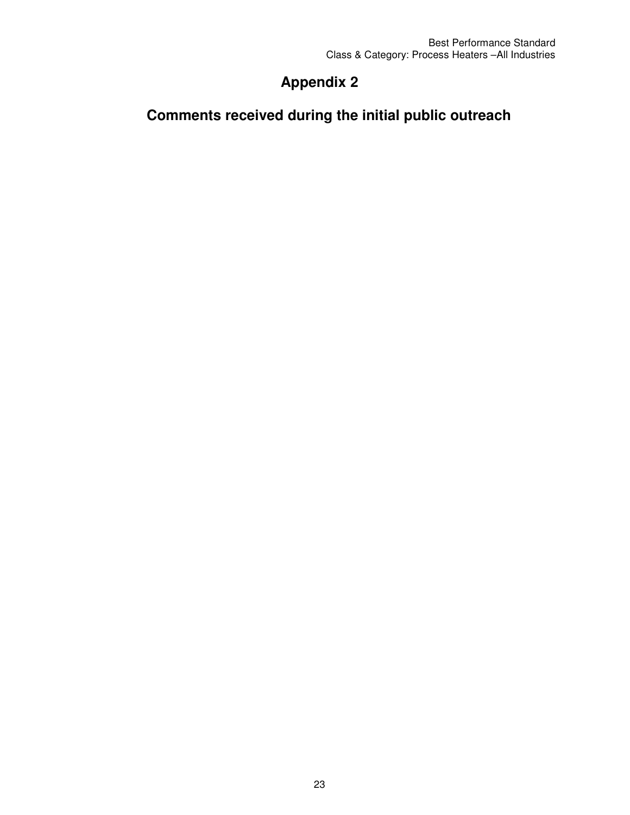# **Appendix 2**

# **Comments received during the initial public outreach**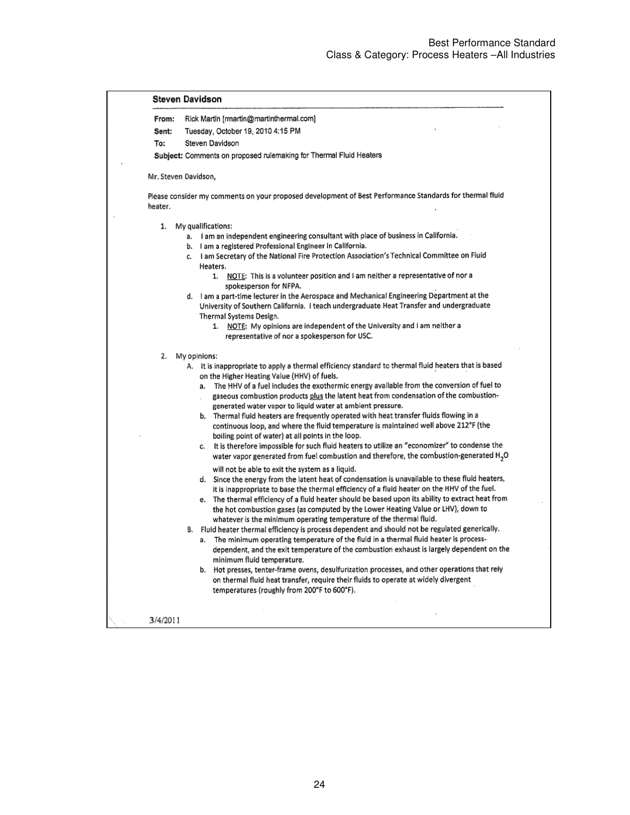| From:   | Rick Martin [rmartin@martinthermal.com]                                                                                                                                                                                                                       |
|---------|---------------------------------------------------------------------------------------------------------------------------------------------------------------------------------------------------------------------------------------------------------------|
| Sent:   | Tuesday, October 19, 2010 4:15 PM                                                                                                                                                                                                                             |
| To:     | Steven Davidson                                                                                                                                                                                                                                               |
|         | Subject: Comments on proposed rulemaking for Thermal Fluid Heaters                                                                                                                                                                                            |
|         | Mr. Steven Davidson,                                                                                                                                                                                                                                          |
| heater. | Please consider my comments on your proposed development of Best Performance Standards for thermal fluid                                                                                                                                                      |
| 1.      | My qualifications:                                                                                                                                                                                                                                            |
|         | a. I am an independent engineering consultant with place of business in California.<br>b. I am a registered Professional Engineer in California.                                                                                                              |
|         | c. I am Secretary of the National Fire Protection Association's Technical Committee on Fluid<br>Heaters.                                                                                                                                                      |
|         | 1. NOTE: This is a volunteer position and I am neither a representative of nor a<br>spokesperson for NFPA.                                                                                                                                                    |
|         | d. I am a part-time lecturer in the Aerospace and Mechanical Engineering Department at the<br>University of Southern California. I teach undergraduate Heat Transfer and undergraduate<br>Thermal Systems Design.                                             |
|         | 1. NOTE: My opinions are independent of the University and I am neither a                                                                                                                                                                                     |
|         | representative of nor a spokesperson for USC.                                                                                                                                                                                                                 |
|         | 2. My opinions:                                                                                                                                                                                                                                               |
|         | A. It is inappropriate to apply a thermal efficiency standard to thermal fluid heaters that is based<br>on the Higher Heating Value (HHV) of fuels.                                                                                                           |
|         | a. The HHV of a fuel includes the exothermic energy available from the conversion of fuel to<br>gaseous combustion products plus the latent heat from condensation of the combustion-<br>generated water vapor to liquid water at ambient pressure.           |
|         | b. Thermal fluid heaters are frequently operated with heat transfer fluids flowing in a<br>continuous loop, and where the fluid temperature is maintained well above 212°F (the                                                                               |
|         | boiling point of water) at all points in the loop.                                                                                                                                                                                                            |
|         | c. It is therefore impossible for such fluid heaters to utilize an "economizer" to condense the<br>water vapor generated from fuel combustion and therefore, the combustion-generated H <sub>2</sub> O                                                        |
|         | will not be able to exit the system as a liquid.<br>d. Since the energy from the latent heat of condensation is unavailable to these fluid heaters,<br>it is inappropriate to base the thermal efficiency of a fluid heater on the HHV of the fuel.           |
|         | e. The thermal efficiency of a fluid heater should be based upon its ability to extract heat from<br>the hot combustion gases (as computed by the Lower Heating Value or LHV), down to<br>whatever is the minimum operating temperature of the thermal fluid. |
|         | B. Fluid heater thermal efficiency is process dependent and should not be regulated generically.<br>The minimum operating temperature of the fluid in a thermal fluid heater is process-<br>а.                                                                |
|         | dependent, and the exit temperature of the combustion exhaust is largely dependent on the<br>minimum fluid temperature.                                                                                                                                       |
|         | b. Hot presses, tenter-frame ovens, desulfurization processes, and other operations that rely<br>on thermal fluid heat transfer, require their fluids to operate at widely divergent                                                                          |
|         | temperatures (roughly from 200°F to 600°F).                                                                                                                                                                                                                   |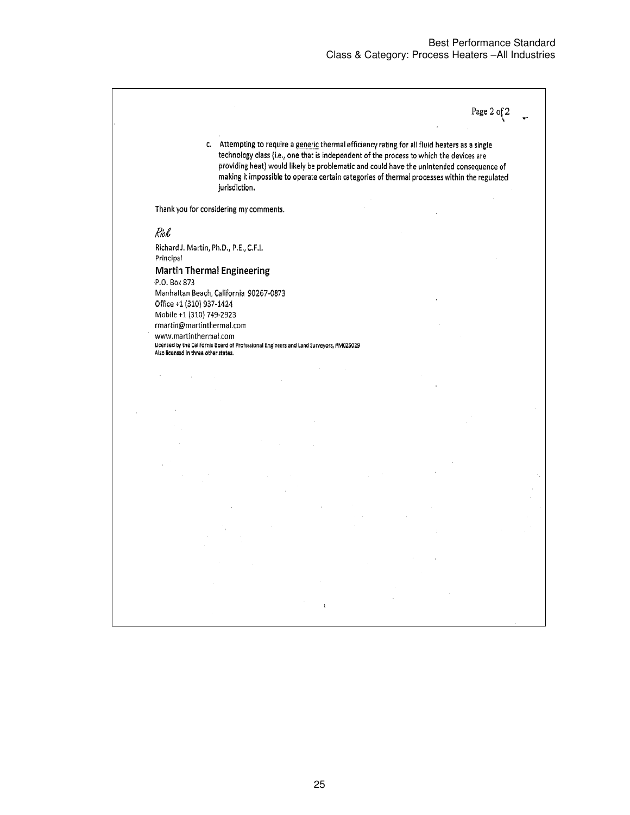Page 2 of  $2\,$ 

c. Attempting to require a generic thermal efficiency rating for all fluid heaters as a single technology class (i.e., one that is independent of the process to which the devices are providing heat) would likely be problematic and could have the unintended consequence of making it impossible to operate certain categories of thermal processes within the regulated jurisdiction.

Thank you for considering my comments.

Rick

Richard J. Martin, Ph.D., P.E., C.F.I. Principal

Also licensed In three other states.

**Martin Thermal Engineering** P.O. Box 873 Manhattan Beach, California 90267-0873 Office +1 (310) 937-1424 Mobile +1 (310) 749-2923 rmartin@martinthermal.com www.martinthermal.com Licensed by the California Board of Professional Engineers and Land Surveyors, #M025029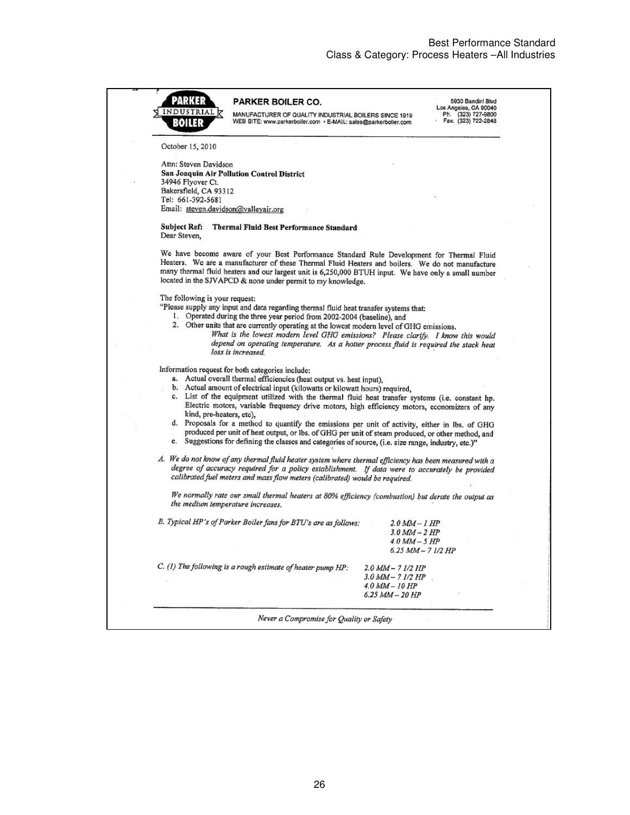| 243318                               | PARKER BOILER CO.                                                                                                                                                                                                                                                                                                                                                    |                                      | 5930 Bandini Blvd<br>Los Angeles, CA 90040 |
|--------------------------------------|----------------------------------------------------------------------------------------------------------------------------------------------------------------------------------------------------------------------------------------------------------------------------------------------------------------------------------------------------------------------|--------------------------------------|--------------------------------------------|
| INDUSTRIAL<br>3011 E                 | MANUFACTURER OF QUALITY INDUSTRIAL BOILERS SINCE 1919<br>WEB SITE: www.parkerboller.com · E-MAIL: sales@parkerboiler.com                                                                                                                                                                                                                                             |                                      | Ph. (323) 727-9800<br>Fax. (323) 722-2848  |
| October 15, 2010                     |                                                                                                                                                                                                                                                                                                                                                                      |                                      |                                            |
| Attn: Steven Davidson                |                                                                                                                                                                                                                                                                                                                                                                      |                                      |                                            |
| 34946 Flyover Ct.                    | San Joaquin Air Pollution Control District                                                                                                                                                                                                                                                                                                                           |                                      |                                            |
| Bakersfield, CA 93312                |                                                                                                                                                                                                                                                                                                                                                                      |                                      |                                            |
| Tel: 661-392-5681                    |                                                                                                                                                                                                                                                                                                                                                                      |                                      |                                            |
| Email: steven.davidson@valleyair.org |                                                                                                                                                                                                                                                                                                                                                                      |                                      |                                            |
| Subject Ref:<br>Dear Steven,         | Thermal Fluid Best Performance Standard                                                                                                                                                                                                                                                                                                                              |                                      |                                            |
|                                      | We have become aware of your Best Performance Standard Rule Development for Thermal Fluid<br>Heaters. We are a manufacturer of these Thermal Fluid Heaters and boilers. We do not manufacture<br>many thermal fluid heaters and our largest unit is 6,250,000 BTUH input. We have only a small number<br>located in the SJVAPCD & none under permit to my knowledge. |                                      |                                            |
| The following is your request:       |                                                                                                                                                                                                                                                                                                                                                                      |                                      |                                            |
|                                      | "Please supply any input and data regarding thermal fluid heat transfer systems that:                                                                                                                                                                                                                                                                                |                                      |                                            |
|                                      | 1. Operated during the three year period from 2002-2004 (baseline), and<br>2. Other units that are currently operating at the lowest modern level of GHG emissions.                                                                                                                                                                                                  |                                      |                                            |
|                                      | What is the lowest modern level GHG emissions? Please clarify. I know this would                                                                                                                                                                                                                                                                                     |                                      |                                            |
|                                      | depend on operating temperature. As a hotter process fluid is required the stack heat<br>loss is increased.                                                                                                                                                                                                                                                          |                                      |                                            |
|                                      |                                                                                                                                                                                                                                                                                                                                                                      |                                      |                                            |
|                                      | Information request for both categories include:<br>a. Actual overall thermal efficiencies (heat output vs. heat input),                                                                                                                                                                                                                                             |                                      |                                            |
|                                      | b. Actual amount of electrical input (kilowatts or kilowatt hours) required,                                                                                                                                                                                                                                                                                         |                                      |                                            |
|                                      | c. List of the equipment utilized with the thermal fluid heat transfer systems (i.e. constant hp.                                                                                                                                                                                                                                                                    |                                      |                                            |
| kind, pre-heaters, etc),             | Electric motors, variable frequency drive motors, high efficiency motors, economizers of any                                                                                                                                                                                                                                                                         |                                      |                                            |
|                                      | d. Proposals for a method to quantify the emissions per unit of activity, either in lbs. of GHG                                                                                                                                                                                                                                                                      |                                      |                                            |
|                                      | produced per unit of heat output, or lbs. of GHG per unit of steam produced, or other method, and<br>e. Suggestions for defining the classes and categories of source, (i.e. size range, industry, etc.)"                                                                                                                                                            |                                      |                                            |
|                                      | A. We do not know of any thermal fluid heater system where thermal efficiency has been measured with a<br>degree of accuracy required for a policy establishment. If data were to accurately be provided<br>calibrated fuel meters and mass flow meters (calibrated) would be required.                                                                              |                                      |                                            |
| the medium temperature increases.    | We normally rate our small thermal heaters at 80% efficiency (combustion) but derate the output as                                                                                                                                                                                                                                                                   |                                      |                                            |
|                                      | B. Typical HP's of Parker Boiler fans for BTU's are as follows:                                                                                                                                                                                                                                                                                                      | 2.0 MM – 1 HP                        |                                            |
|                                      |                                                                                                                                                                                                                                                                                                                                                                      | 3.0 MM – 2 HP                        |                                            |
|                                      |                                                                                                                                                                                                                                                                                                                                                                      | 4.0 MM – 5 HP<br>6.25 MM – 7 1/2 HP  |                                            |
|                                      |                                                                                                                                                                                                                                                                                                                                                                      |                                      |                                            |
|                                      | $C.$ (1) The following is a rough estimate of heater pump $HP$ .                                                                                                                                                                                                                                                                                                     | 2.0 MM - 7 1/2 HP                    |                                            |
|                                      |                                                                                                                                                                                                                                                                                                                                                                      | 3.0 MM -- 7 1/2 HP<br>4.0 MM - 10 HP |                                            |
|                                      |                                                                                                                                                                                                                                                                                                                                                                      |                                      |                                            |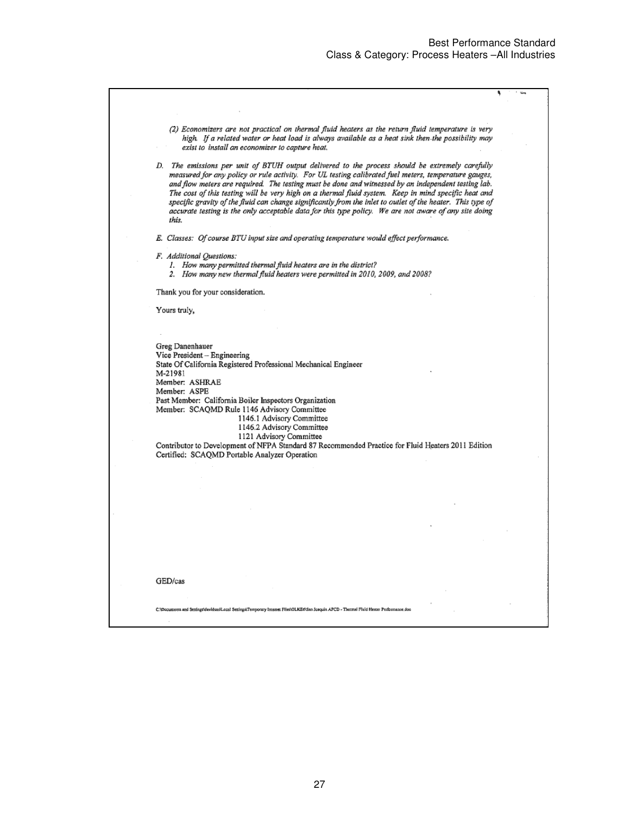يست و

| (2) Economizers are not practical on thermal fluid heaters as the return fluid temperature is very<br>high. If a related water or heat load is always available as a heat sink then the possibility may |  |
|---------------------------------------------------------------------------------------------------------------------------------------------------------------------------------------------------------|--|
|                                                                                                                                                                                                         |  |
| exist to install an economizer to capture heat.                                                                                                                                                         |  |
| D. The emissions per unit of BTUH output delivered to the process should be extremely carefully                                                                                                         |  |
| measured for any policy or rule activity. For UL testing calibrated fuel meters, temperature gauges,                                                                                                    |  |
| and flow meters are required. The testing must be done and witnessed by an independent testing lab.                                                                                                     |  |
| The cost of this testing will be very high on a thermal fluid system. Keep in mind specific heat and                                                                                                    |  |
| specific gravity of the fluid can change significantly from the inlet to outlet of the heater. This type of                                                                                             |  |
|                                                                                                                                                                                                         |  |
| accurate testing is the only acceptable data for this type policy. We are not aware of any site doing                                                                                                   |  |
| this.                                                                                                                                                                                                   |  |
| E. Classes: Of course BTU input size and operating temperature would effect performance.                                                                                                                |  |
|                                                                                                                                                                                                         |  |
| F. Additional Questions:                                                                                                                                                                                |  |
| 1. How many permitted thermal fluid heaters are in the district?                                                                                                                                        |  |
| 2. How many new thermal fluid heaters were permitted in 2010, 2009, and 2008?                                                                                                                           |  |
| Thank you for your consideration.                                                                                                                                                                       |  |
|                                                                                                                                                                                                         |  |
| Yours truly,                                                                                                                                                                                            |  |
|                                                                                                                                                                                                         |  |
|                                                                                                                                                                                                         |  |
| Greg Danenhauer                                                                                                                                                                                         |  |
| Vice President - Engineering                                                                                                                                                                            |  |
| State Of California Registered Professional Mechanical Engineer                                                                                                                                         |  |
| M-21981                                                                                                                                                                                                 |  |
|                                                                                                                                                                                                         |  |
| Member: ASHRAE                                                                                                                                                                                          |  |
| Member: ASPE                                                                                                                                                                                            |  |
| Past Member: California Boiler Inspectors Organization                                                                                                                                                  |  |
| Member: SCAQMD Rule 1146 Advisory Committee                                                                                                                                                             |  |
| 1146.1 Advisory Committee                                                                                                                                                                               |  |
| 1146.2 Advisory Committee                                                                                                                                                                               |  |
| 1121 Advisory Committee                                                                                                                                                                                 |  |
| Contributor to Development of NFPA Standard 87 Recommended Practice for Fluid Heaters 2011 Edition                                                                                                      |  |
| Certified: SCAQMD Portable Analyzer Operation                                                                                                                                                           |  |
|                                                                                                                                                                                                         |  |
|                                                                                                                                                                                                         |  |
|                                                                                                                                                                                                         |  |
|                                                                                                                                                                                                         |  |
|                                                                                                                                                                                                         |  |
|                                                                                                                                                                                                         |  |
|                                                                                                                                                                                                         |  |
|                                                                                                                                                                                                         |  |
|                                                                                                                                                                                                         |  |
|                                                                                                                                                                                                         |  |
|                                                                                                                                                                                                         |  |
| GED/cas                                                                                                                                                                                                 |  |
|                                                                                                                                                                                                         |  |
| C:\Documents and Settings\davidsos\Loog! Settings\Temporary Internet Files\OLKE0\San Jooquin APCD - Thermal Fluid Hester Performance.doc                                                                |  |
|                                                                                                                                                                                                         |  |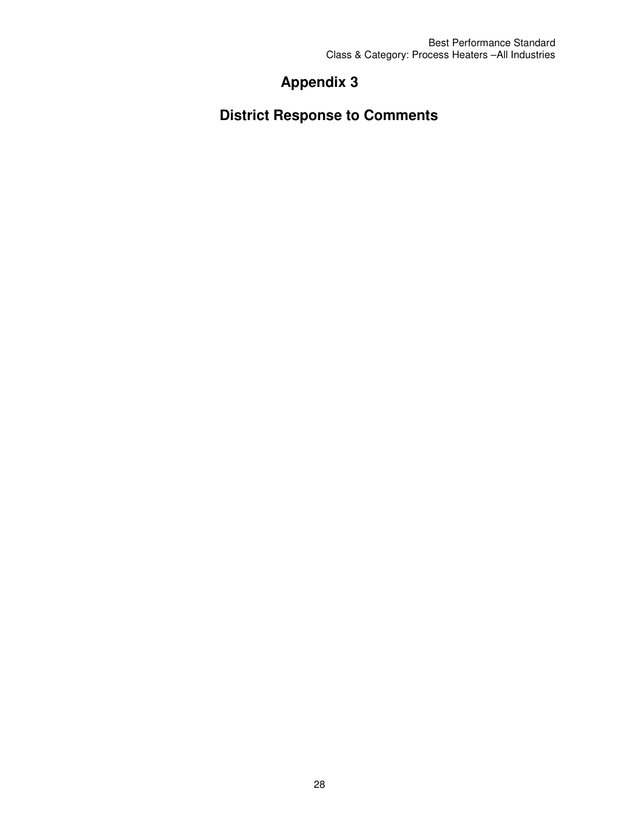# **Appendix 3**

**District Response to Comments**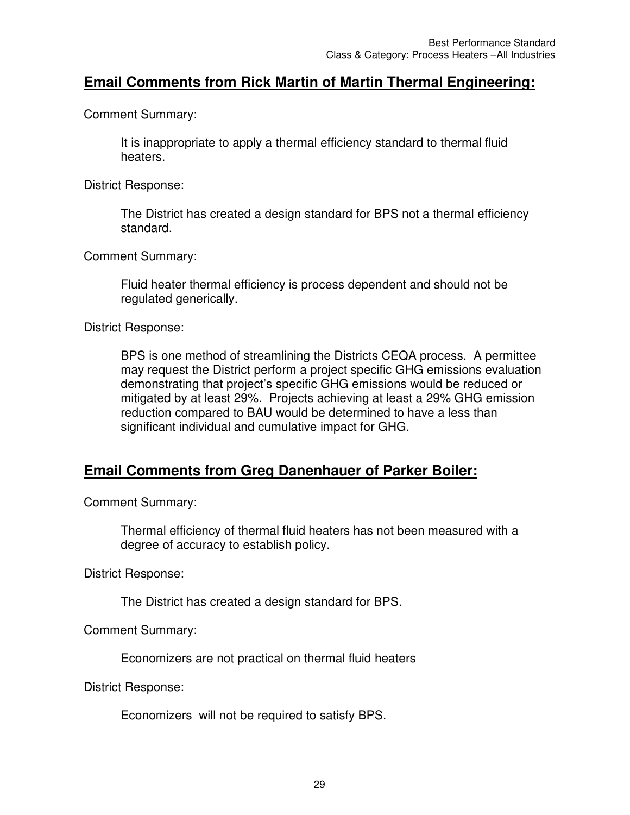## **Email Comments from Rick Martin of Martin Thermal Engineering:**

Comment Summary:

It is inappropriate to apply a thermal efficiency standard to thermal fluid heaters.

District Response:

The District has created a design standard for BPS not a thermal efficiency standard.

Comment Summary:

Fluid heater thermal efficiency is process dependent and should not be regulated generically.

District Response:

BPS is one method of streamlining the Districts CEQA process. A permittee may request the District perform a project specific GHG emissions evaluation demonstrating that project's specific GHG emissions would be reduced or mitigated by at least 29%. Projects achieving at least a 29% GHG emission reduction compared to BAU would be determined to have a less than significant individual and cumulative impact for GHG.

## **Email Comments from Greg Danenhauer of Parker Boiler:**

Comment Summary:

Thermal efficiency of thermal fluid heaters has not been measured with a degree of accuracy to establish policy.

District Response:

The District has created a design standard for BPS.

Comment Summary:

Economizers are not practical on thermal fluid heaters

District Response:

Economizers will not be required to satisfy BPS.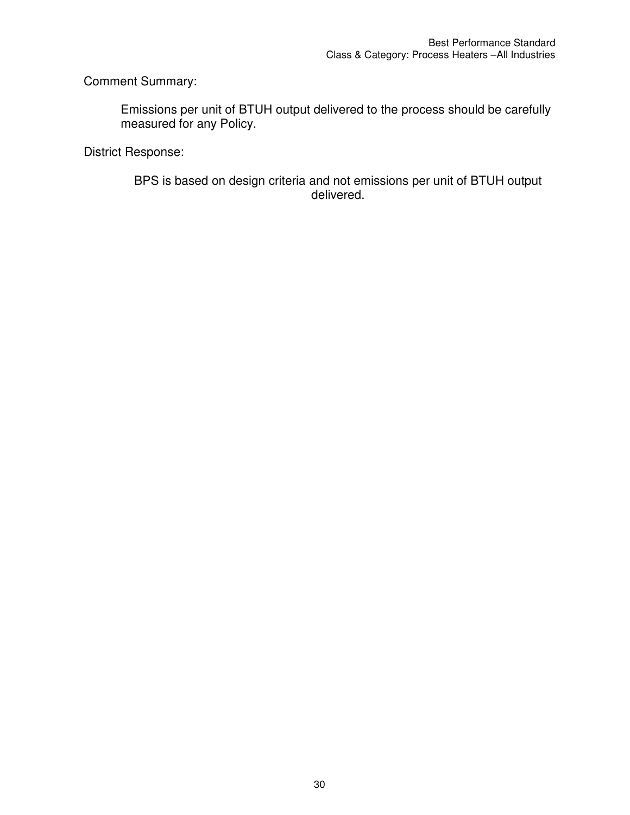Comment Summary:

Emissions per unit of BTUH output delivered to the process should be carefully measured for any Policy.

District Response:

BPS is based on design criteria and not emissions per unit of BTUH output delivered.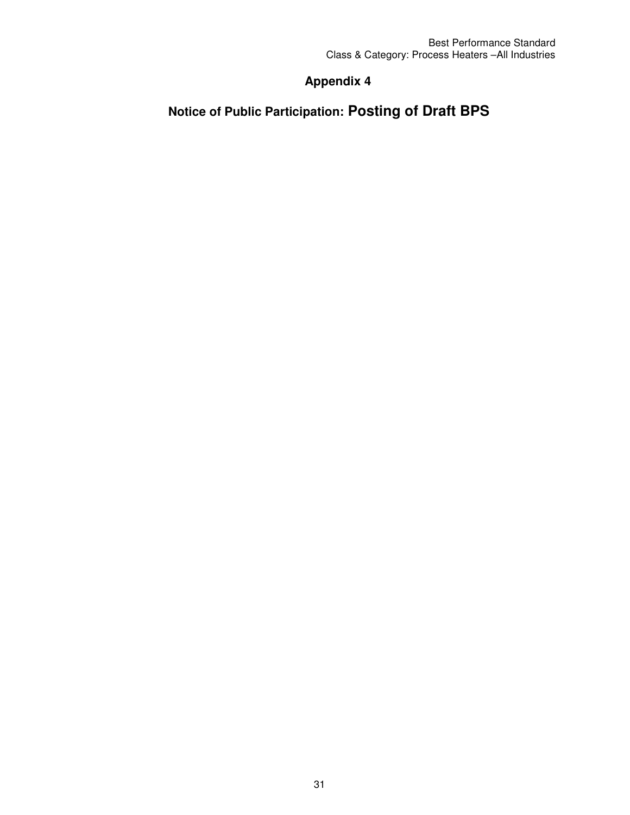## **Appendix 4**

# **Notice of Public Participation: Posting of Draft BPS**